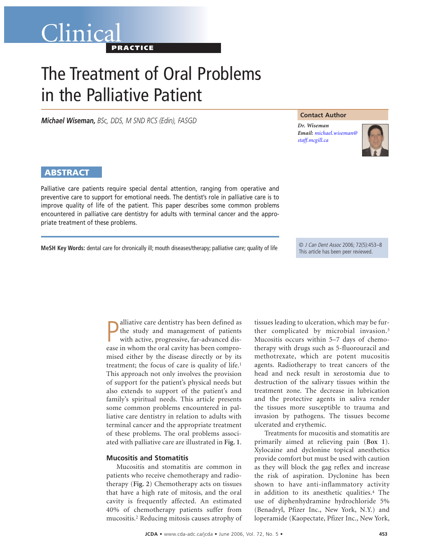# Clinica **PRACTICE**

# The Treatment of Oral Problems in the Palliative Patient

*Michael Wiseman, BSc, DDS, M SND RCS (Edin), FASGD*

# **Contact Author**

*Dr. Wiseman Email: [michael.wiseman@](mailto:michael.wiseman@staff.mcgill.ca) staff.mcgill.ca*



# **ABSTRACT**

Palliative care patients require special dental attention, ranging from operative and preventive care to support for emotional needs. The dentist's role in palliative care is to improve quality of life of the patient. This paper describes some common problems encountered in palliative care dentistry for adults with terminal cancer and the appropriate treatment of these problems.

**MeSH Key Words:** dental care for chronically ill; mouth diseases/therapy; palliative care; quality of life

© J Can Dent Assoc 2006; 72(5):453–8 This article has been peer reviewed.

**P** alliative care dentistry has been defined as the study and management of patients with active, progressive, far-advanced disease in whom the oral cavity has been comproalliative care dentistry has been defined as the study and management of patients with active, progressive, far-advanced dismised either by the disease directly or by its treatment; the focus of care is quality of life.<sup>1</sup> This approach not only involves the provision of support for the patient's physical needs but also extends to support of the patient's and family's spiritual needs. This article presents some common problems encountered in palliative care dentistry in relation to adults with terminal cancer and the appropriate treatment of these problems. The oral problems associated with palliative care are illustrated in **Fig. 1**.

# **Mucositis and Stomatitis**

Mucositis and stomatitis are common in patients who receive chemotherapy and radiotherapy (**Fig. 2**) Chemotherapy acts on tissues that have a high rate of mitosis, and the oral cavity is frequently affected. An estimated 40% of chemotherapy patients suffer from mucositis.2 Reducing mitosis causes atrophy of tissues leading to ulceration, which may be further complicated by microbial invasion.3 Mucositis occurs within 5–7 days of chemotherapy with drugs such as 5-fluorouracil and methotrexate, which are potent mucositis agents. Radiotherapy to treat cancers of the head and neck result in xerostomia due to destruction of the salivary tissues within the treatment zone. The decrease in lubrication and the protective agents in saliva render the tissues more susceptible to trauma and invasion by pathogens. The tissues become ulcerated and erythemic.

Treatments for mucositis and stomatitis are primarily aimed at relieving pain (**Box 1**). Xylocaine and dyclonine topical anesthetics provide comfort but must be used with caution as they will block the gag reflex and increase the risk of aspiration. Dyclonine has been shown to have anti-inflammatory activity in addition to its anesthetic qualities.4 The use of diphenhydramine hydrochloride 5% (Benadryl, Pfizer Inc., New York, N.Y.) and loperamide (Kaopectate, Pfizer Inc., New York,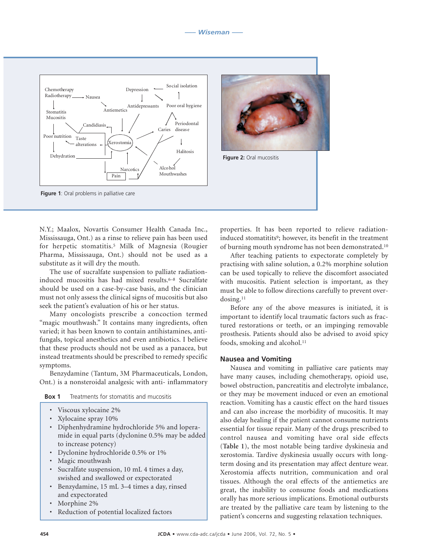



**Figure 2:** Oral mucositis

N.Y.; Maalox, Novartis Consumer Health Canada Inc., Mississauga, Ont.) as a rinse to relieve pain has been used for herpetic stomatitis.5 Milk of Magnesia (Rougier Pharma, Mississauga, Ont.) should not be used as a substitute as it will dry the mouth.

The use of sucralfate suspension to palliate radiationinduced mucositis has had mixed results.<sup>6–8</sup> Sucralfate should be used on a case-by-case basis, and the clinician must not only assess the clinical signs of mucositis but also seek the patient's evaluation of his or her status.

Many oncologists prescribe a concoction termed "magic mouthwash." It contains many ingredients, often varied; it has been known to contain antihistamines, antifungals, topical anesthetics and even antibiotics. I believe that these products should not be used as a panacea, but instead treatments should be prescribed to remedy specific symptoms.

Benzydamine (Tantum, 3M Pharmaceuticals, London, Ont.) is a nonsteroidal analgesic with anti- inflammatory

| Treatments for stomatitis and mucositis | Box 1 |  |  |  |  |
|-----------------------------------------|-------|--|--|--|--|
|-----------------------------------------|-------|--|--|--|--|

- Viscous xylocaine 2%
- Xylocaine spray 10%
- Diphenhydramine hydrochloride 5% and loperamide in equal parts (dyclonine 0.5% may be added to increase potency)
- Dyclonine hydrochloride 0.5% or 1%
- Magic mouthwash
- Sucralfate suspension, 10 mL 4 times a day, swished and swallowed or expectorated
- Benzydamine, 15 mL 3–4 times a day, rinsed and expectorated
- Morphine 2%
- Reduction of potential localized factors

properties. It has been reported to relieve radiationinduced stomatitits<sup>9</sup>; however, its benefit in the treatment of burning mouth syndrome has not been demonstrated.10

After teaching patients to expectorate completely by practising with saline solution, a 0.2% morphine solution can be used topically to relieve the discomfort associated with mucositis. Patient selection is important, as they must be able to follow directions carefully to prevent overdosing.11

Before any of the above measures is initiated, it is important to identify local traumatic factors such as fractured restorations or teeth, or an impinging removable prosthesis. Patients should also be advised to avoid spicy foods, smoking and alcohol.<sup>11</sup>

#### **Nausea and Vomiting**

Nausea and vomiting in palliative care patients may have many causes, including chemotherapy, opioid use, bowel obstruction, pancreatitis and electrolyte imbalance, or they may be movement induced or even an emotional reaction. Vomiting has a caustic effect on the hard tissues and can also increase the morbidity of mucositis. It may also delay healing if the patient cannot consume nutrients essential for tissue repair. Many of the drugs prescribed to control nausea and vomiting have oral side effects (**Table 1**), the most notable being tardive dyskinesia and xerostomia. Tardive dyskinesia usually occurs with longterm dosing and its presentation may affect denture wear. Xerostomia affects nutrition, communication and oral tissues. Although the oral effects of the antiemetics are great, the inability to consume foods and medications orally has more serious implications. Emotional outbursts are treated by the palliative care team by listening to the patient's concerns and suggesting relaxation techniques.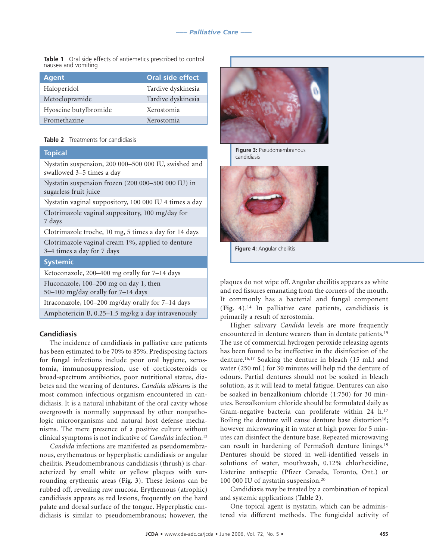**Table 1** Oral side effects of antiemetics prescribed to control nausea and vomiting

| <b>Agent</b>          | Oral side effect   |
|-----------------------|--------------------|
| Haloperidol           | Tardive dyskinesia |
| Metoclopramide        | Tardive dyskinesia |
| Hyoscine butylbromide | Xerostomia         |
| Promethazine          | Xerostomia         |

# **Table 2** Treatments for candidiasis

# **Topical**

Nystatin suspension, 200 000–500 000 IU, swished and swallowed 3–5 times a day

Nystatin suspension frozen (200 000–500 000 IU) in sugarless fruit juice

Nystatin vaginal suppository, 100 000 IU 4 times a day

Clotrimazole vaginal suppository, 100 mg/day for 7 days

Clotrimazole troche, 10 mg, 5 times a day for 14 days Clotrimazole vaginal cream 1%, applied to denture 3–4 times a day for 7 days

# **Systemic**

Ketoconazole, 200–400 mg orally for 7–14 days

Fluconazole, 100–200 mg on day 1, then

50–100 mg/day orally for 7–14 days

Itraconazole, 100–200 mg/day orally for 7–14 days

Amphotericin B, 0.25–1.5 mg/kg a day intravenously

# **Candidiasis**

The incidence of candidiasis in palliative care patients has been estimated to be 70% to 85%. Predisposing factors for fungal infections include poor oral hygiene, xerostomia, immunosuppression, use of corticosteroids or broad-spectrum antibiotics, poor nutritional status, diabetes and the wearing of dentures. *Candida albicans* is the most common infectious organism encountered in candidiasis. It is a natural inhabitant of the oral cavity whose overgrowth is normally suppressed by other nonpathologic microorganisms and natural host defense mechanisms. The mere presence of a positive culture without clinical symptoms is not indicative of *Candida* infection.13

*Candida* infections are manifested as pseudomembranous, erythematous or hyperplastic candidiasis or angular cheilitis. Pseudomembranous candidiasis (thrush) is characterized by small white or yellow plaques with surrounding erythemic areas (**Fig. 3**). These lesions can be rubbed off, revealing raw mucosa. Erythemous (atrophic) candidiasis appears as red lesions, frequently on the hard palate and dorsal surface of the tongue. Hyperplastic candidiasis is similar to pseudomembranous; however, the



**Figure 3:** Pseudomembranous candidiasis



**Figure 4:** Angular cheilitis

plaques do not wipe off. Angular cheilitis appears as white and red fissures emanating from the corners of the mouth. It commonly has a bacterial and fungal component (**Fig. 4**).14 In palliative care patients, candidiasis is primarily a result of xerostomia.

Higher salivary *Candida* levels are more frequently encountered in denture wearers than in dentate patients.15 The use of commercial hydrogen peroxide releasing agents has been found to be ineffective in the disinfection of the denture.16,17 Soaking the denture in bleach (15 mL) and water (250 mL) for 30 minutes will help rid the denture of odours. Partial dentures should not be soaked in bleach solution, as it will lead to metal fatigue. Dentures can also be soaked in benzalkonium chloride (1:750) for 30 minutes. Benzalkonium chloride should be formulated daily as Gram-negative bacteria can proliferate within 24 h.17 Boiling the denture will cause denture base distortion<sup>18</sup>; however microwaving it in water at high power for 5 minutes can disinfect the denture base. Repeated microwaving can result in hardening of PermaSoft denture linings.19 Dentures should be stored in well-identified vessels in solutions of water, mouthwash, 0.12% chlorhexidine, Listerine antiseptic (Pfizer Canada, Toronto, Ont.) or 100 000 IU of nystatin suspension.20

Candidiasis may be treated by a combination of topical and systemic applications (**Table 2**).

One topical agent is nystatin, which can be administered via different methods. The fungicidal activity of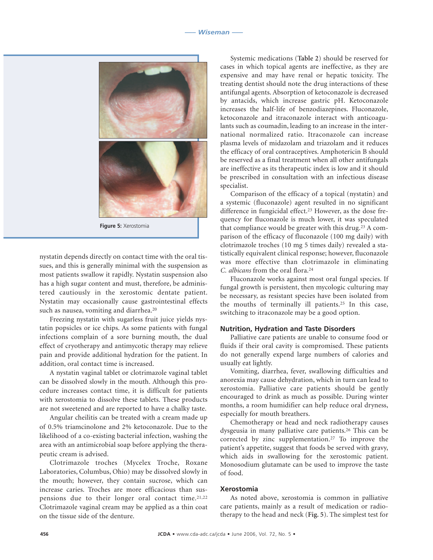

**Figure 5:** Xerostomia

nystatin depends directly on contact time with the oral tissues, and this is generally minimal with the suspension as most patients swallow it rapidly. Nystatin suspension also has a high sugar content and must, therefore, be administered cautiously in the xerostomic dentate patient. Nystatin may occasionally cause gastrointestinal effects such as nausea, vomiting and diarrhea.<sup>20</sup>

Freezing nystatin with sugarless fruit juice yields nystatin popsicles or ice chips. As some patients with fungal infections complain of a sore burning mouth, the dual effect of cryotherapy and antimycotic therapy may relieve pain and provide additional hydration for the patient. In addition, oral contact time is increased.

A nystatin vaginal tablet or clotrimazole vaginal tablet can be dissolved slowly in the mouth. Although this procedure increases contact time, it is difficult for patients with xerostomia to dissolve these tablets. These products are not sweetened and are reported to have a chalky taste.

Angular cheilitis can be treated with a cream made up of 0.5% triamcinolone and 2% ketoconazole. Due to the likelihood of a co-existing bacterial infection, washing the area with an antimicrobial soap before applying the therapeutic cream is advised.

Clotrimazole troches (Mycelex Troche, Roxane Laboratories, Columbus, Ohio) may be dissolved slowly in the mouth; however, they contain sucrose, which can increase caries. Troches are more efficacious than suspensions due to their longer oral contact time.21,22 Clotrimazole vaginal cream may be applied as a thin coat on the tissue side of the denture.

Systemic medications (**Table 2**) should be reserved for cases in which topical agents are ineffective, as they are expensive and may have renal or hepatic toxicity. The treating dentist should note the drug interactions of these antifungal agents. Absorption of ketoconazole is decreased by antacids, which increase gastric pH. Ketoconazole increases the half-life of benzodiazepines. Fluconazole, ketoconazole and itraconazole interact with anticoagulants such as coumadin, leading to an increase in the international normalized ratio. Itraconazole can increase plasma levels of midazolam and triazolam and it reduces the efficacy of oral contraceptives. Amphotericin B should be reserved as a final treatment when all other antifungals are ineffective as its therapeutic index is low and it should be prescribed in consultation with an infectious disease specialist.

Comparison of the efficacy of a topical (nystatin) and a systemic (fluconazole) agent resulted in no significant difference in fungicidal effect.23 However, as the dose frequency for fluconazole is much lower, it was speculated that compliance would be greater with this drug.23 A comparison of the efficacy of fluconazole (100 mg daily) with clotrimazole troches (10 mg 5 times daily) revealed a statistically equivalent clinical response; however, fluconazole was more effective than clotrimazole in eliminating *C. albicans* from the oral flora.24

Fluconazole works against most oral fungal species. If fungal growth is persistent, then mycologic culturing may be necessary, as resistant species have been isolated from the mouths of terminally ill patients.25 In this case, switching to itraconazole may be a good option.

# **Nutrition, Hydration and Taste Disorders**

Palliative care patients are unable to consume food or fluids if their oral cavity is compromised. These patients do not generally expend large numbers of calories and usually eat lightly.

Vomiting, diarrhea, fever, swallowing difficulties and anorexia may cause dehydration, which in turn can lead to xerostomia. Palliative care patients should be gently encouraged to drink as much as possible. During winter months, a room humidifier can help reduce oral dryness, especially for mouth breathers.

Chemotherapy or head and neck radiotherapy causes dysgeusia in many palliative care patients.26 This can be corrected by zinc supplementation.27 To improve the patient's appetite, suggest that foods be served with gravy, which aids in swallowing for the xerostomic patient. Monosodium glutamate can be used to improve the taste of food.

# **Xerostomia**

As noted above, xerostomia is common in palliative care patients, mainly as a result of medication or radiotherapy to the head and neck (**Fig. 5**). The simplest test for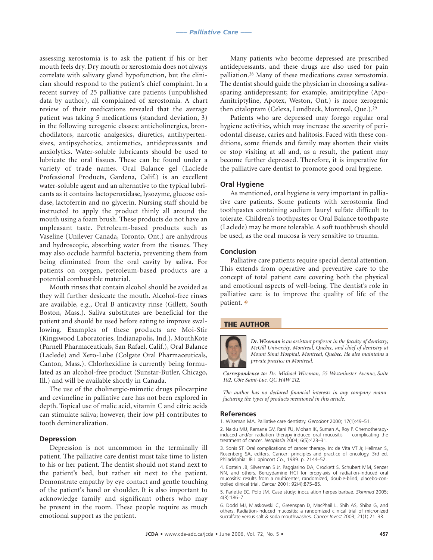assessing xerostomia is to ask the patient if his or her mouth feels dry. Dry mouth or xerostomia does not always correlate with salivary gland hypofunction, but the clinician should respond to the patient's chief complaint. In a recent survey of 25 palliative care patients (unpublished data by author), all complained of xerostomia. A chart review of their medications revealed that the average patient was taking 5 medications (standard deviation, 3) in the following xerogenic classes: anticholinergics, bronchodilators, narcotic analgesics, diuretics, antihypertensives, antipsychotics, antiemetics, antidepressants and anxiolytics. Water-soluble lubricants should be used to lubricate the oral tissues. These can be found under a variety of trade names. Oral Balance gel (Laclede Professional Products, Gardena, Calif.) is an excellent water-soluble agent and an alternative to the typical lubricants as it contains lactoperoxidase, lysozyme, glucose oxidase, lactoferrin and no glycerin. Nursing staff should be instructed to apply the product thinly all around the mouth using a foam brush. These products do not have an unpleasant taste. Petroleum-based products such as Vaseline (Unilever Canada, Toronto, Ont.) are anhydrous and hydroscopic, absorbing water from the tissues. They may also occlude harmful bacteria, preventing them from being eliminated from the oral cavity by saliva. For patients on oxygen, petroleum-based products are a potential combustible material.

Mouth rinses that contain alcohol should be avoided as they will further desiccate the mouth. Alcohol-free rinses are available, e.g., Oral B anticavity rinse (Gillett, South Boston, Mass.). Saliva substitutes are beneficial for the patient and should be used before eating to improve swallowing. Examples of these products are Moi-Stir (Kingswood Laboratories, Indianapolis, Ind.), MouthKote (Parnell Pharmaceuticals, San Rafael, Calif.), Oral Balance (Laclede) and Xero-Lube (Colgate Oral Pharmaceuticals, Canton, Mass.). Chlorhexidine is currently being formulated as an alcohol-free product (Sunstar-Butler, Chicago, Ill.) and will be available shortly in Canada.

The use of the cholinergic-mimetic drugs pilocarpine and cevimeline in palliative care has not been explored in depth. Topical use of malic acid, vitamin C and citric acids can stimulate saliva; however, their low pH contributes to tooth demineralization.

# **Depression**

Depression is not uncommon in the terminally ill patient. The palliative care dentist must take time to listen to his or her patient. The dentist should not stand next to the patient's bed, but rather sit next to the patient. Demonstrate empathy by eye contact and gentle touching of the patient's hand or shoulder. It is also important to acknowledge family and significant others who may be present in the room. These people require as much emotional support as the patient.

Many patients who become depressed are prescribed antidepressants, and these drugs are also used for pain palliation.28 Many of these medications cause xerostomia. The dentist should guide the physician in choosing a salivasparing antidepressant; for example, amitriptyline (Apo-Amitriptyline, Apotex, Weston, Ont.) is more xerogenic then citalopram (Celexa, Lundbeck, Montreal, Que.).29

Patients who are depressed may forego regular oral hygiene activities, which may increase the severity of periodontal disease, caries and halitosis. Faced with these conditions, some friends and family may shorten their visits or stop visiting at all and, as a result, the patient may become further depressed. Therefore, it is imperative for the palliative care dentist to promote good oral hygiene.

#### **Oral Hygiene**

As mentioned, oral hygiene is very important in palliative care patients. Some patients with xerostomia find toothpastes containing sodium lauryl sulfate difficult to tolerate. Children's toothpastes or Oral Balance toothpaste (Laclede) may be more tolerable. A soft toothbrush should be used, as the oral mucosa is very sensitive to trauma.

#### **Conclusion**

Palliative care patients require special dental attention. This extends from operative and preventive care to the concept of total patient care covering both the physical and emotional aspects of well-being. The dentist's role in palliative care is to improve the quality of life of the patient.  $\rightarrow$ 

#### **THE AUTHOR**



*Dr. Wiseman is an assistant professor in the faculty of dentistry, McGill University, Montreal, Quebec, and chief of dentistry at Mount Sinai Hospital, Montreal, Quebec. He also maintains a private practice in Montreal.*

*Correspondence to: Dr. Michael Wiseman, 55 Westminster Avenue, Suite 102, Côte Saint-Luc, QC H4W 2J2.*

*The author has no declared financial interests in any company manufacturing the types of products mentioned in this article.*

#### **References**

1. Wiseman MA. Palliative care dentistry. *Gerodont* 2000; 17(1):49–51.

2. Naidu MU, Ramana GV, Rani PU, Mohan IK, Suman A, Roy P. Chemotherapyinduced and/or radiation therapy-induced oral mucositis — complicating the treatment of cancer. *Neoplasia* 2004; 6(5):423–31.

3. Sonis ST. Oral complications of cancer therapy. In: de Vita VT Jr, Hellman S, Rosenberg SA, editors. Cancer: principles and practice of oncology. 3rd ed. Philadelphia: JB Lippincort Co., 1989. p. 2144–52.

4. Epstein JB, Silverman S Jr, Paggiarino DA, Crockett S, Schubert MM, Senzer NN, and others. Benzydamine HCl for propylaxis of radiation-induced oral mucositis: results from a multicenter, randomized, double-blind, placebo-controlled clinical trial. *Cancer* 2001; 92(4):875–85.

5. Parlette EC, Polo JM. Case study: inoculation herpes barbae. *Skinmed* 2005; 4(3):186–7.

6. Dodd MJ, Miaskowski C, Greenspan D, MacPhail L, Shih AS, Shiba G, and others. Radiation-induced mucositis: a randomized clinical trial of micronized sucralfate versus salt & soda mouthwashes. *Cancer Invest* 2003; 21(1):21–33.